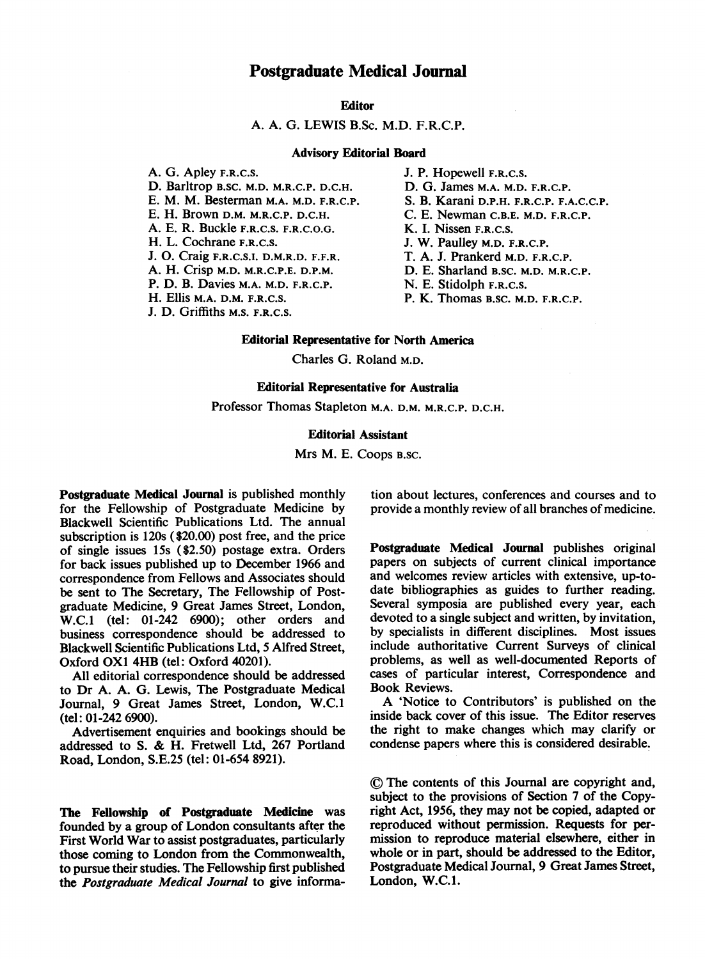## Postgraduate Medical Journal

## **Editor**

### A. A. G. LEWIS B.Sc. M.D. F.R.C.P.

#### Advisory Editorial Board

A. G. Apley F.R.C.S. D. Barltrop B.SC. M.D. M.R.C.P. D.C.H. E. M. M. Besterman M.A. M.D. F.R.C.P. E. H. Brown D.M. M.R.C.P. D.C.H. A. E. R. Buckle F.R.C.S. F.R.C.O.G. H. L. Cochrane F.R.C.S. J. 0. Craig F.R.C.S.T. D.M.R.D. F.F.R. A. H. Crisp M.D. M.R.C.P.E. D.P.M. P. D. B. Davies M.A. M.D. F.R.C.P. H. Ellis M.A. D.M. F.R.C.S. J. D. Griffiths M.S. F.R.C.S.

J. P. Hopewell F.R.C.S. D. G. James M.A. M.D. F.R.C.P. S. B. Karani D.P.H. F.R.C.P. F.A.C.C.P. C. E. Newman C.B.E. M.D. F.R.C.P. K. I. Nissen F.R.C.S. J. W. Paulley M.D. F.R.C.P. T. A. J. Prankerd M.D. F.R.C.P. D. E. Sharland B.SC. M.D. M.R.C.P. N. E. Stidolph F.R.C.S.

P. K. Thomas B.SC. M.D. F.R.C.P.

## Editorial Representative for North America

Charles G. Roland M.D.

### Editorial Representative for Australia

Professor Thomas Stapleton M.A. D.M. M.R.C.P. D.C.H.

#### Editorial Assistant

Mrs M. E. Coops B.SC.

Postgraduate Medical Journal is published monthly for the Fellowship of Postgraduate Medicine by Blackwell Scientific Publications Ltd. The annual subscription is 120s (\$20.00) post free, and the price of single issues 15s (\$2.50) postage extra. Orders for back issues published up to December 1966 and correspondence from Fellows and Associates should be sent to The Secretary, The Fellowship of Postgraduate Medicine, 9 Great James Street, London, W.C.1 (tel: 01-242 6900); other orders and business correspondence should be addressed to Blackwell Scientific Publications Ltd, 5 Alfred Street, Oxford OX1 4HB (tel: Oxford 40201).

All editorial correspondence should be addressed to Dr A. A. G. Lewis, The Postgraduate Medical Journal, 9 Great James Street, London, W.C.1 (tel: 01-242 6900).

Advertisement enquiries and bookings should be addressed to S. & H. Fretwell Ltd, <sup>267</sup> Portland Road, London, S.E.25 (tel: 01-654 8921).

The Fellowship of Postgraduate Medicine was founded by a group of London consultants after the First World War to assist postgraduates, particularly those coming to London from the Commonwealth, to pursue their studies. The Fellowship first published the Postgraduate Medical Journal to give informa-

tion about lectures, conferences and courses and to provide a monthly review of all branches of medicine.

Postgraduate Medical Journal publishes original papers on subjects of current clinical importance and welcomes review articles with extensive, up-todate bibliographies as guides to further reading. Several symposia are published every year, each devoted to a single subject and written, by invitation, by specialists in different disciplines. Most issues include authoritative Current Surveys of clinical problems, as well as well-documented Reports of cases of particular interest, Correspondence and Book Reviews.

A 'Notice to Contributors' is published on the inside back cover of this issue. The Editor reserves the right to make changes which may clarify or condense papers where this is considered desirable.

© The contents of this Journal are copyright and, subject to the provisions of Section 7 of the Copyright Act, 1956, they may not be copied, adapted or reproduced without permission. Requests for permission to reproduce material elsewhere, either in whole or in part, should be addressed to the Editor, Postgraduate Medical Journal, 9 Great James Street, London, W.C.1.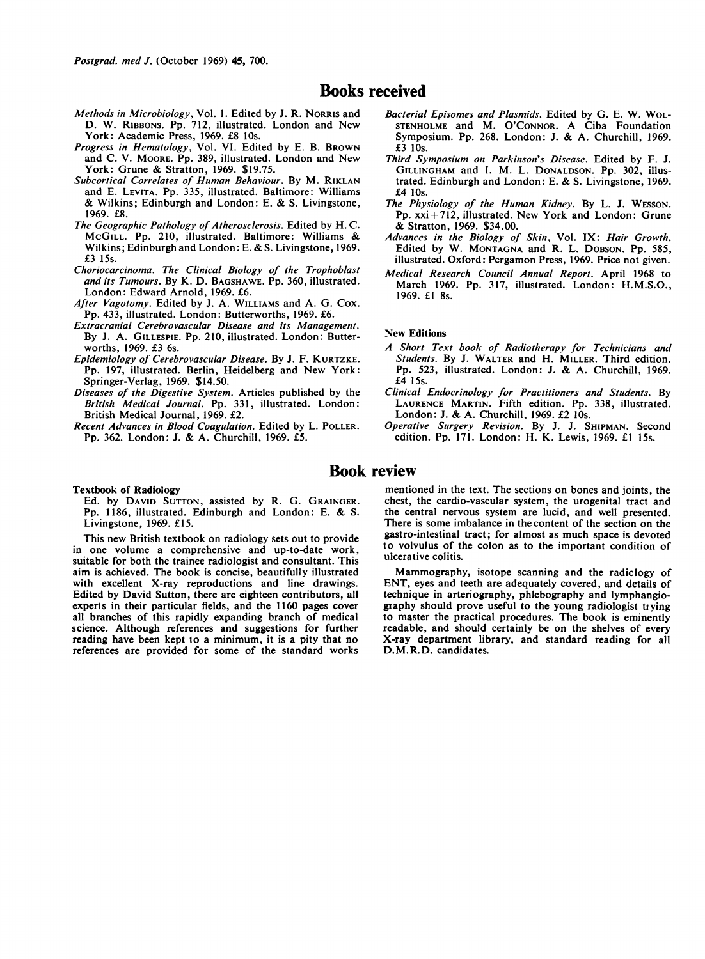## Books received

- Methods in Microbiology, Vol. 1. Edited by J. R. NORRIS and D. W. RIBBONS. Pp. 712, illustrated. London and New York: Academic Press, 1969. £8 10s.
- Progress in Hematology, Vol. VI. Edited by E. B. BROWN and C. V. MOORE. Pp. 389, illustrated. London and New York: Grune & Stratton, 1969. \$19.75.
- Subcortical Correlates of Human Behaviour. By M. RIKLAN and E. LEVITA. Pp. 335, illustrated. Baltimore: Williams & Wilkins; Edinburgh and London: E. & S. Livingstone, 1969. £8.
- The Geographic Pathology of Atherosclerosis. Edited by H. C. McGILL. Pp. 210, illustrated. Baltimore: Williams & Wilkins; Edinburgh and London: E. & S. Livingstone, 1969. £3 15s.
- Choriocarcinoma. The Clinical Biology of the Trophoblast and its Tumours. By K. D. BAGSHAWE. Pp. 360, illustrated. London: Edward Arnold, 1969. £6.
- After Vagotomy. Edited by J. A. WILLIAMS and A. G. Cox. Pp. 433, illustrated. London: Butterworths, 1969. £6.
- Extracranial Cerebrovascular Disease and its Management. By J. A. GILLESPIE. Pp. 210, illustrated. London: Butterworths, 1969. £3 6s.
- Epidemiology of Cerebrovascular Disease. By J. F. KURTZKE. Pp. 197, illustrated. Berlin, Heidelberg and New York: Springer-Verlag, 1969. \$14.50.
- Diseases of the Digestive System. Articles published by the British Medical Journal. Pp. 331, illustrated. London: British Medical Journal, 1969. £2.
- Recent Advances in Blood Coagulation. Edited by L. POLLER. Pp. 362. London: J. & A. Churchill, 1969. £5.
- Bacterial Episomes and Plasmids. Edited by G. E. W. WOL-STENHOLME and M. O'CONNOR. A Ciba Foundation Symposium. Pp. 268. London: J. & A. Churchill, 1969. £3 1Os.
- Third Symposium on Parkinson's Disease. Edited by F. J. GILLINGHAM and 1. M. L. DONALDSON. Pp. 302, illustrated. Edinburgh and London: E. & S. Livingstone, 1969. £4 1Os.
- The Physiology of the Human Kidney. By L. J. WESSON. Pp. xxi+712, illustrated. New York and London: Grune & Stratton, 1969. \$34.00.
- Advances in the Biology of Skin, Vol. IX: Hair Growth. Edited by W. MONTAGNA and R. L. DOBSON. Pp. 585, illustrated. Oxford: Pergamon Press, 1969. Price not given.
- Medical Research Council Annual Report. April 1968 to March 1969. Pp. 317, illustrated. London: H.M.S.O., 1969. £1 8s.

#### New Editions

- A Short Text book of Radiotherapy for Technicians and Students. By J. WALTER and H. MILLER. Third edition. Pp. 523, illustrated. London: J. & A. Churchill, 1969. £4 15s.
- Clinical Endocrinology for Practitioners and Students. By LAURENCE MARTIN. Fifth edition. Pp. 338, illustrated. London: J. & A. Churchill, 1969. £2 10s.
- Operative Surgery Revision. By J. J. SHIPMAN. Second edition. Pp. 171. London: H. K. Lewis, 1969. £1 15s.

### Book review

#### Textbook of Radiology

Ed. by DAVID SUTTON, assisted by R. G. GRAINGER. Pp. 1186, illustrated. Edinburgh and London: E. & S. Livingstone, 1969. £15.

This new British textbook on radiology sets out to provide in one volume a comprehensive and up-to-date work, suitable for both the trainee radiologist and consultant. This aim is achieved. The book is concise, beautifully illustrated with excellent X-ray reproductions and line drawings. Edited by David Sutton, there are eighteen contributors, all experts in their particular fields, and the 1160 pages cover all branches of this rapidly expanding branch of medical science. Although references and suggestions for further reading have been kept to a minimum, it is a pity that no references are provided for some of the standard works

mentioned in the text. The sections on bones and joints, the chest, the cardio-vascular system, the urogenital tract and the central nervous system are lucid, and well presented. There is some imbalance in the content of the section on the gastro-intestinal tract; for almost as much space is devoted to volvulus of the colon as to the important condition of ulcerative colitis.

Mammography, isotope scanning and the radiology of ENT, eyes and teeth are adequately covered, and details of technique in arteriography, phlebography and lymphangiogiaphy should prove useful to the young radiologist tiying to master the practical procedures. The book is eminently readable, and should certainly be on the shelves of every X-ray department library, and standard reading for all D.M.R.D. candidates.